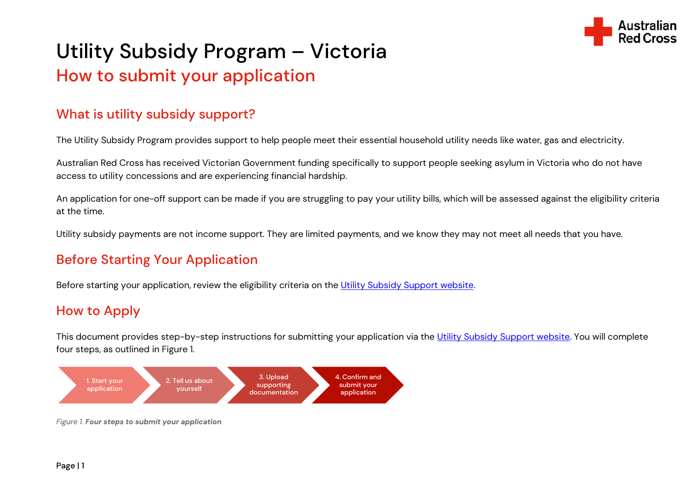

# Utility Subsidy Program – Victoria How to submit your application

## What is utility subsidy support?

The Utility Subsidy Program provides support to help people meet their essential household utility needs like water, gas and electricity.

Australian Red Cross has received Victorian Government funding specifically to support people seeking asylum in Victoria who do not have access to utility concessions and are experiencing financial hardship.

An application for one-off support can be made if you are struggling to pay your utility bills, which will be assessed against the eligibility criteria at the time.

Utility subsidy payments are not income support. They are limited payments, and we know they may not meet all needs that you have.

## Before Starting Your Application

Before starting your application, review the eligibility criteria on the [Utility Subsidy Support website.](https://www.redcross.org.au/utilitysupport)

## How to Apply

This document provides step-by-step instructions for submitting your application via the [Utility Subsidy Support website.](https://www.redcross.org.au/utilitysupport) You will complete four steps, as outlined in Figure 1.



Figure 1. Four steps to submit your application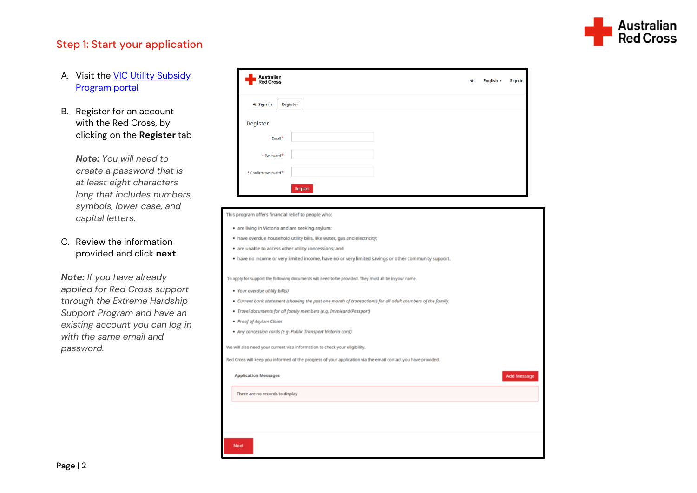

### Step 1: Start your application

- A. Visit the [VIC Utility Subsidy](https://connect.redcross.org.au/en-US/application-submit/?code=VUS2021)  [Program portal](https://connect.redcross.org.au/en-US/application-submit/?code=VUS2021)
- B. Register for an account with the Red Cross, by clicking on the **Register** tab

*Note: You will need to create a password that is at least eight characters long that includes numbers, symbols, lower case, and capital letters.*

### C. Review the information provided and click **next**

*Note: If you have already applied for Red Cross support through the Extreme Hardship Support Program and have an existing account you can log in with the same email and password.*

| Australian<br>Red Cross        | 合 | English - | Sign in |
|--------------------------------|---|-----------|---------|
| $\bigstar$ Sign in<br>Register |   |           |         |
| Register                       |   |           |         |
| $*$ Email <sup>*</sup>         |   |           |         |
| * Password*                    |   |           |         |
| $*$ Confirm password $*$       |   |           |         |
| Register                       |   |           |         |

#### This program offers financial relief to people who:

- . are living in Victoria and are seeking asylum;
- . have overdue household utility bills, like water, gas and electricity;
- . are unable to access other utility concessions; and
- . have no income or very limited income, have no or very limited savings or other community support.

To apply for support the following documents will need to be provided. They must all be in your name

- · Your overdue utility bill(s)
- Current bank statement (showing the past one month of transactions) for all adult members of the family.
- · Travel documents for all family members (e.g. Immicard/Passport)
- · Proof of Asylum Claim
- · Any concession cards (e.g. Public Transport Victoria card)

We will also need your current visa information to check your eligibility.

Red Cross will keep you informed of the progress of your application via the email contact you have provided.

| <b>Application Messages</b>     | Add Message |
|---------------------------------|-------------|
| There are no records to display |             |
|                                 |             |
|                                 |             |
| Next                            |             |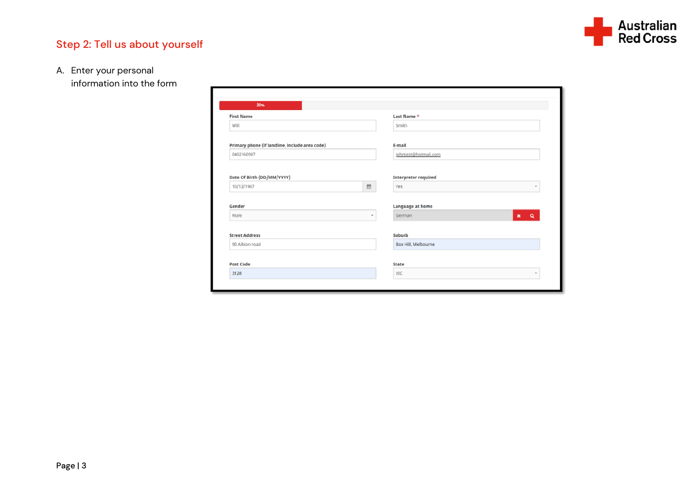

## Step 2: Tell us about yourself

A. Enter your personal

information into the form

| 25%                                            |   |                      |  |
|------------------------------------------------|---|----------------------|--|
| <b>First Name</b>                              |   | Last Name *          |  |
| Will                                           |   | Smith                |  |
| Primary phone (if landline, include area code) |   | E-mail               |  |
| 0402160987                                     |   | johntest@hotmail.com |  |
| 10/12/1967                                     | 曲 | Yes<br>٠             |  |
|                                                |   |                      |  |
| Gender                                         |   | Language at home     |  |
| Male                                           | ٠ | $x \alpha$<br>German |  |
|                                                |   | Suburb               |  |
|                                                |   | Box Hill, Melbourne  |  |
| <b>Street Address</b><br>90 Albion road        |   |                      |  |
|                                                |   |                      |  |
| Post Code                                      |   | State                |  |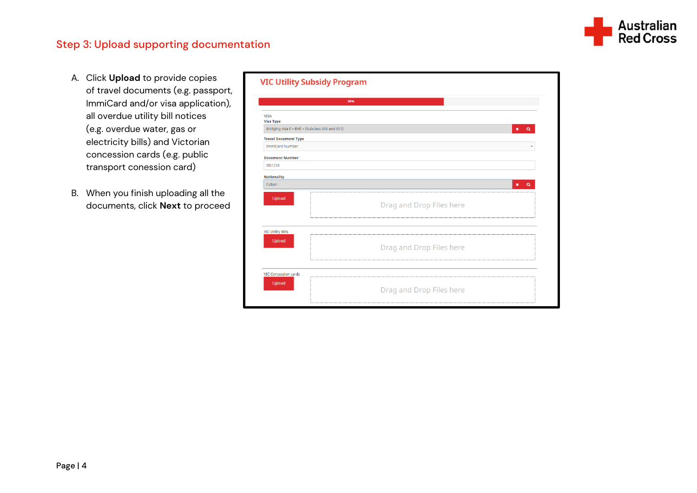

### Step 3: Upload supporting documentation

- A. Click **Upload** to provide copies of travel documents (e.g. passport, ImmiCard and/or visa application), all overdue utility bill notices (e.g. overdue water, gas or electricity bills) and Victorian concession cards (e.g. public transport conession card)
- B. When you finish uploading all the documents, click **Next** to proceed

|                                                | 66%                        |
|------------------------------------------------|----------------------------|
| <b>VISA</b><br><b>Visa Type</b>                |                            |
| Bridging visa E - BVE - (Subclass 050 and 051) | $\alpha$<br>$\pmb{\times}$ |
| <b>Travel Document Type</b>                    |                            |
| ImmiCard Number                                |                            |
| <b>Document Number</b>                         |                            |
| EIS1234                                        |                            |
| <b>Nationality</b>                             |                            |
| Cuban                                          | $\alpha$<br>$\pmb{\times}$ |
| Upload                                         | Drag and Drop Files here   |
| <b>VIC Utility Bills</b>                       |                            |
| Upload                                         | Drag and Drop Files here   |
| <b>VIC Concession cards</b>                    |                            |
| Upload                                         | Drag and Drop Files here   |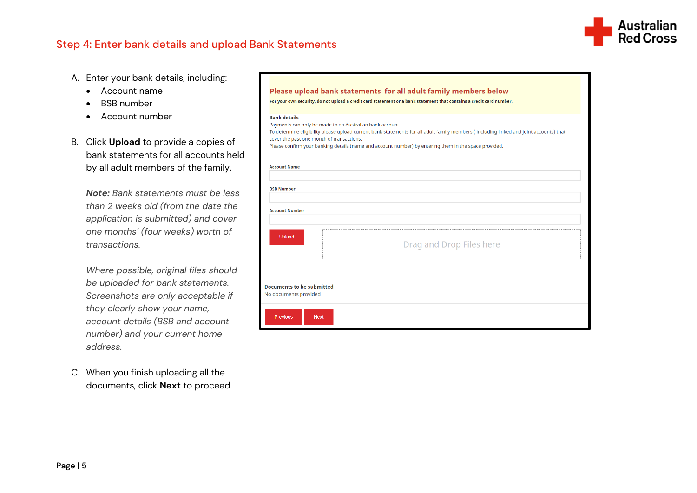

### Step 4: Enter bank details and upload Bank Statements

- A. Enter your bank details, including:
	- Account name
	- BSB number
	- Account number
- B. Click **Upload** to provide a copies of bank statements for all accounts held by all adult members of the family.

*Note: Bank statements must be less than 2 weeks old (from the date the application is submitted) and cover one months' (four weeks) worth of transactions.* 

*Where possible, original files should be uploaded for bank statements. Screenshots are only acceptable if they clearly show your name, account details (BSB and account number) and your current home address.*

C. When you finish uploading all the documents, click **Next** to proceed

|                                                                  | Please upload bank statements for all adult family members below<br>For your own security, do not upload a credit card statement or a bank statement that contains a credit card number.                                                                                                                    |
|------------------------------------------------------------------|-------------------------------------------------------------------------------------------------------------------------------------------------------------------------------------------------------------------------------------------------------------------------------------------------------------|
| <b>Bank details</b><br>cover the past one month of transactions. | Payments can only be made to an Australian bank account.<br>To determine eligibility please upload current bank statements for all adult family members (including linked and joint accounts) that<br>Please confirm your banking details (name and account number) by entering them in the space provided. |
| <b>Account Name</b>                                              |                                                                                                                                                                                                                                                                                                             |
| <b>BSB Number</b>                                                |                                                                                                                                                                                                                                                                                                             |
| <b>Account Number</b>                                            |                                                                                                                                                                                                                                                                                                             |
| Upload                                                           | Drag and Drop Files here                                                                                                                                                                                                                                                                                    |
| <b>Documents to be submitted</b><br>No documents provided        |                                                                                                                                                                                                                                                                                                             |
| <b>Previous</b><br><b>Next</b>                                   |                                                                                                                                                                                                                                                                                                             |